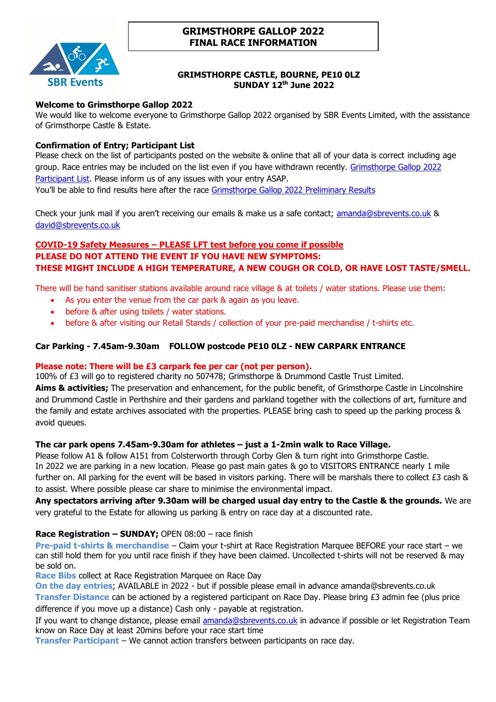

# **GRIMSTHORPE GALLOP 2022 FINAL RACE INFORMATION**

# **GRIMSTHORPE CASTLE, BOURNE, PE10 0LZ SUNDAY 12 th June 2022**

# **Welcome to Grimsthorpe Gallop 2022**

We would like to welcome everyone to Grimsthorpe Gallop 2022 organised by SBR Events Limited, with the assistance of Grimsthorpe Castle & Estate.

# **Confirmation of Entry; Participant List**

Please check on the list of participants posted on the website & online that all of your data is correct including age group. Race entries may be included on the list even if you have withdrawn recently. Grimsthorpe Gallop 2022 [Participant List.](https://jcracesolutions.co.uk/event/grimsthorpe-gallop-sunday-12th-june-2022/) Please inform us of any issues with your entry ASAP. You'll be able to find results here after the race [Grimsthorpe Gallop 2022 Preliminary Results](https://jcracesolutions.co.uk/2022/05/18/grimsthorpe-gallop-2022/)

Check your junk mail if you aren't receiving our emails & make us a safe contact; [amanda@sbrevents.co.uk](mailto:amanda@sbrevents.co.uk) & [david@sbrevents.co.uk](mailto:david@sbrevents.co.uk)

# **COVID-19 Safety Measures – PLEASE LFT test before you come if possible PLEASE DO NOT ATTEND THE EVENT IF YOU HAVE NEW SYMPTOMS: THESE MIGHT INCLUDE A HIGH TEMPERATURE, A NEW COUGH OR COLD, OR HAVE LOST TASTE/SMELL.**

There will be hand sanitiser stations available around race village & at toilets / water stations. Please use them:

- As you enter the venue from the car park & again as you leave.
- before & after using toilets / water stations.
- before & after visiting our Retail Stands / collection of your pre-paid merchandise / t-shirts etc.

# **Car Parking - 7.45am-9.30am FOLLOW postcode PE10 0LZ - NEW CARPARK ENTRANCE**

# **Please note: There will be £3 carpark fee per car (not per person).**

100% of £3 will go to registered charity no 507478; Grimsthorpe & Drummond Castle Trust Limited. **Aims & activities;** The preservation and enhancement, for the public benefit, of Grimsthorpe Castle in Lincolnshire and Drummond Castle in Perthshire and their gardens and parkland together with the collections of art, furniture and the family and estate archives associated with the properties. PLEASE bring cash to speed up the parking process & avoid queues.

# **The car park opens 7.45am-9.30am for athletes – just a 1-2min walk to Race Village.**

Please follow A1 & follow A151 from Colsterworth through Corby Glen & turn right into Grimsthorpe Castle. In 2022 we are parking in a new location. Please go past main gates & go to VISITORS ENTRANCE nearly 1 mile further on. All parking for the event will be based in visitors parking. There will be marshals there to collect £3 cash & to assist. Where possible please car share to minimise the environmental impact.

**Any spectators arriving after 9.30am will be charged usual day entry to the Castle & the grounds.** We are very grateful to the Estate for allowing us parking & entry on race day at a discounted rate.

# **Race Registration – SUNDAY;** OPEN 08:00 – race finish

**Pre-paid t-shirts & merchandise** – Claim your t-shirt at Race Registration Marquee BEFORE your race start – we can still hold them for you until race finish if they have been claimed. Uncollected t-shirts will not be reserved & may be sold on.

**Race Bibs** collect at Race Registration Marquee on Race Day

**On the day entries**; AVAILABLE in 2022 - but if possible please email in advance amanda@sbrevents.co.uk

**Transfer Distance** can be actioned by a registered participant on Race Day. Please bring £3 admin fee (plus price difference if you move up a distance) Cash only - payable at registration.

If you want to change distance, please email [amanda@sbrevents.co.uk](mailto:amanda@sbrevents.co.uk) in advance if possible or let Registration Team know on Race Day at least 20mins before your race start time

**Transfer Participant** – We cannot action transfers between participants on race day.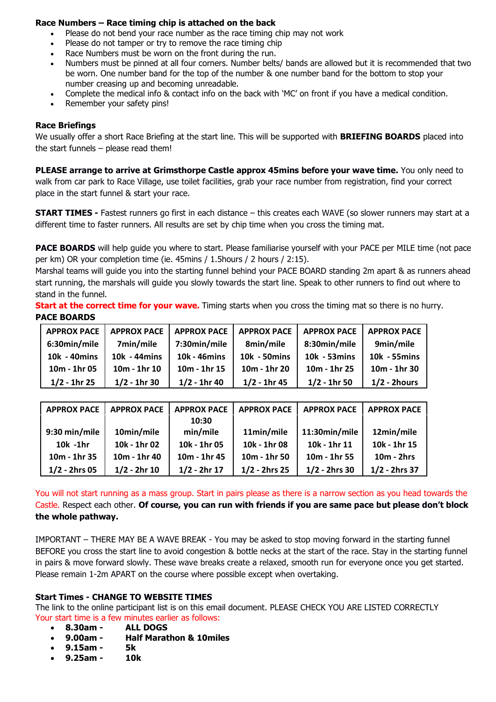## **Race Numbers – Race timing chip is attached on the back**

- Please do not bend your race number as the race timing chip may not work
- Please do not tamper or try to remove the race timing chip
- Race Numbers must be worn on the front during the run.
- Numbers must be pinned at all four corners. Number belts/ bands are allowed but it is recommended that two be worn. One number band for the top of the number & one number band for the bottom to stop your number creasing up and becoming unreadable.
- Complete the medical info & contact info on the back with 'MC' on front if you have a medical condition.
- Remember your safety pins!

## **Race Briefings**

We usually offer a short Race Briefing at the start line. This will be supported with **BRIEFING BOARDS** placed into the start funnels – please read them!

**PLEASE arrange to arrive at Grimsthorpe Castle approx 45mins before your wave time.** You only need to walk from car park to Race Village, use toilet facilities, grab your race number from registration, find your correct place in the start funnel & start your race.

**START TIMES -** Fastest runners go first in each distance – this creates each WAVE (so slower runners may start at a different time to faster runners. All results are set by chip time when you cross the timing mat.

PACE BOARDS will help guide you where to start. Please familiarise yourself with your PACE per MILE time (not pace per km) OR your completion time (ie. 45mins / 1.5hours / 2 hours / 2:15).

Marshal teams will guide you into the starting funnel behind your PACE BOARD standing 2m apart & as runners ahead start running, the marshals will guide you slowly towards the start line. Speak to other runners to find out where to stand in the funnel.

**Start at the correct time for your wave.** Timing starts when you cross the timing mat so there is no hurry. **PACE BOARDS** 

| <b>APPROX PACE</b> | <b>APPROX PACE</b> | <b>APPROX PACE</b> | <b>APPROX PACE</b> | <b>APPROX PACE</b> | <b>APPROX PACE</b> |
|--------------------|--------------------|--------------------|--------------------|--------------------|--------------------|
| 6:30min/mile       | 7min/mile          | 7:30min/mile       | 8min/mile          | 8:30min/mile       | 9min/mile          |
| 10k - 40mins       | 10k - 44mins       | 10k - 46mins       | 10k - 50mins       | 10k - 53mins       | 10k - 55mins       |
| 10m - 1hr 05       | 10m - 1hr 10       | $10m - 1hr$ 15     | 10m - 1hr 20       | 10m - 1hr 25       | 10m - 1hr 30       |
| $1/2 - 1hr 25$     | $1/2 - 1$ hr 30    | $1/2 - 1$ hr 40    | $1/2 - 1$ hr 45    | $1/2 - 1$ hr 50    | $1/2$ - 2hours     |

| <b>APPROX PACE</b> | <b>APPROX PACE</b> | <b>APPROX PACE</b> | <b>APPROX PACE</b> | <b>APPROX PACE</b> | <b>APPROX PACE</b> |
|--------------------|--------------------|--------------------|--------------------|--------------------|--------------------|
|                    |                    | 10:30              |                    |                    |                    |
| 9:30 min/mile      | 10min/mile         | min/mile           | 11min/mile         | 11:30min/mile      | 12min/mile         |
| $10k - 1hr$        | 10k - 1hr 02       | 10k - 1hr 05       | 10k - 1hr 08       | 10k - 1hr 11       | 10k - 1hr 15       |
| 10m - 1hr 35       | 10m - 1hr 40       | 10m - 1hr 45       | 10m - 1hr 50       | 10m - 1hr 55       | $10m - 2hrs$       |
| $1/2 - 2$ hrs 05   | $1/2 - 2hr$ 10     | $1/2 - 2hr$ 17     | $1/2 - 2$ hrs 25   | $1/2 - 2$ hrs 30   | $1/2 - 2$ hrs 37   |

You will not start running as a mass group. Start in pairs please as there is a narrow section as you head towards the Castle. Respect each other. **Of course, you can run with friends if you are same pace but please don't block the whole pathway.**

IMPORTANT – THERE MAY BE A WAVE BREAK - You may be asked to stop moving forward in the starting funnel BEFORE you cross the start line to avoid congestion & bottle necks at the start of the race. Stay in the starting funnel in pairs & move forward slowly. These wave breaks create a relaxed, smooth run for everyone once you get started. Please remain 1-2m APART on the course where possible except when overtaking.

## **Start Times - CHANGE TO WEBSITE TIMES**

The link to the online participant list is on this email document. PLEASE CHECK YOU ARE LISTED CORRECTLY Your start time is a few minutes earlier as follows:<br>• 8.30am - ALL DOGS

- **8.30am - ALL DOGS**
- **9.00am - Half Marathon & 10miles**
- **9.15am - 5k**
- **9.25am - 10k**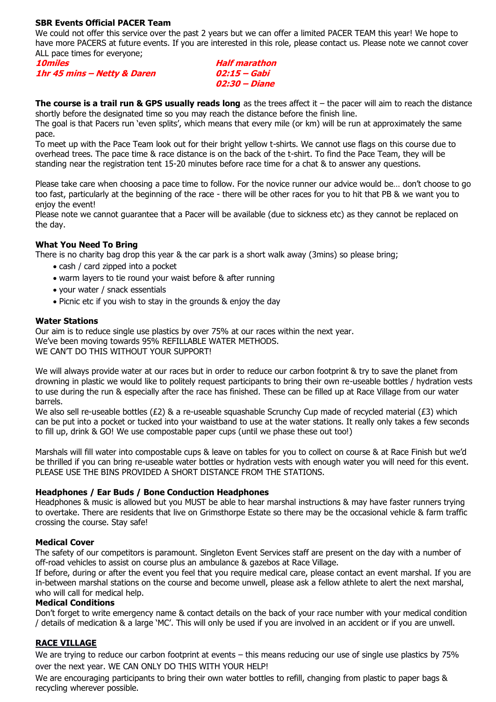## **SBR Events Official PACER Team**

We could not offer this service over the past 2 years but we can offer a limited PACER TEAM this year! We hope to have more PACERS at future events. If you are interested in this role, please contact us. Please note we cannot cover ALL pace times for everyone;

| <i><b>10miles</b></i> |                             |  |
|-----------------------|-----------------------------|--|
|                       | 1hr 45 mins - Netty & Daren |  |

**Half marathon 1hr 45 mins – Netty & Daren 02:15 – Gabi 02:30 – Diane**

**The course is a trail run & GPS usually reads long** as the trees affect it – the pacer will aim to reach the distance shortly before the designated time so you may reach the distance before the finish line.

The goal is that Pacers run 'even splits', which means that every mile (or km) will be run at approximately the same pace.

To meet up with the Pace Team look out for their bright yellow t-shirts. We cannot use flags on this course due to overhead trees. The pace time & race distance is on the back of the t-shirt. To find the Pace Team, they will be standing near the registration tent 15-20 minutes before race time for a chat & to answer any questions.

Please take care when choosing a pace time to follow. For the novice runner our advice would be… don't choose to go too fast, particularly at the beginning of the race - there will be other races for you to hit that PB & we want you to enjoy the event!

Please note we cannot guarantee that a Pacer will be available (due to sickness etc) as they cannot be replaced on the day.

## **What You Need To Bring**

There is no charity bag drop this year & the car park is a short walk away (3mins) so please bring;

- cash / card zipped into a pocket
- warm layers to tie round your waist before & after running
- your water / snack essentials
- Picnic etc if you wish to stay in the grounds & enjoy the day

## **Water Stations**

Our aim is to reduce single use plastics by over 75% at our races within the next year. We've been moving towards 95% REFILLABLE WATER METHODS. WE CAN'T DO THIS WITHOUT YOUR SUPPORT!

We will always provide water at our races but in order to reduce our carbon footprint & try to save the planet from drowning in plastic we would like to politely request participants to bring their own re-useable bottles / hydration vests to use during the run & especially after the race has finished. These can be filled up at Race Village from our water barrels.

We also sell re-useable bottles (£2) & a re-useable squashable Scrunchy Cup made of recycled material (£3) which can be put into a pocket or tucked into your waistband to use at the water stations. It really only takes a few seconds to fill up, drink & GO! We use compostable paper cups (until we phase these out too!)

Marshals will fill water into compostable cups & leave on tables for you to collect on course & at Race Finish but we'd be thrilled if you can bring re-useable water bottles or hydration vests with enough water you will need for this event. PLEASE USE THE BINS PROVIDED A SHORT DISTANCE FROM THE STATIONS.

## **Headphones / Ear Buds / Bone Conduction Headphones**

Headphones & music is allowed but you MUST be able to hear marshal instructions & may have faster runners trying to overtake. There are residents that live on Grimsthorpe Estate so there may be the occasional vehicle & farm traffic crossing the course. Stay safe!

# **Medical Cover**

The safety of our competitors is paramount. Singleton Event Services staff are present on the day with a number of off-road vehicles to assist on course plus an ambulance & gazebos at Race Village.

If before, during or after the event you feel that you require medical care, please contact an event marshal. If you are in-between marshal stations on the course and become unwell, please ask a fellow athlete to alert the next marshal, who will call for medical help.

## **Medical Conditions**

Don't forget to write emergency name & contact details on the back of your race number with your medical condition / details of medication & a large 'MC'. This will only be used if you are involved in an accident or if you are unwell.

# **RACE VILLAGE**

We are trying to reduce our carbon footprint at events – this means reducing our use of single use plastics by 75% over the next year. WE CAN ONLY DO THIS WITH YOUR HELP!

We are encouraging participants to bring their own water bottles to refill, changing from plastic to paper bags & recycling wherever possible.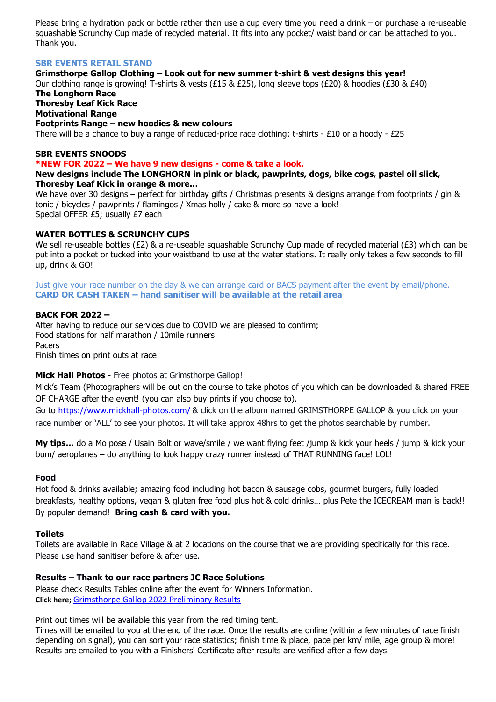Please bring a hydration pack or bottle rather than use a cup every time you need a drink – or purchase a re-useable squashable Scrunchy Cup made of recycled material. It fits into any pocket/ waist band or can be attached to you. Thank you.

#### **SBR EVENTS RETAIL STAND**

## **Grimsthorpe Gallop Clothing – Look out for new summer t-shirt & vest designs this year!**

Our clothing range is growing! T-shirts & vests (£15 & £25), long sleeve tops (£20) & hoodies (£30 & £40) **The Longhorn Race**

**Thoresby Leaf Kick Race Motivational Range**

#### **Footprints Range – new hoodies & new colours**

There will be a chance to buy a range of reduced-price race clothing: t-shirts -  $£10$  or a hoody -  $£25$ 

#### **SBR EVENTS SNOODS**

#### **\*NEW FOR 2022 – We have 9 new designs - come & take a look.**

**New designs include The LONGHORN in pink or black, pawprints, dogs, bike cogs, pastel oil slick, Thoresby Leaf Kick in orange & more…**

We have over 30 designs – perfect for birthday gifts / Christmas presents & designs arrange from footprints / gin & tonic / bicycles / pawprints / flamingos / Xmas holly / cake & more so have a look! Special OFFER £5; usually £7 each

#### **WATER BOTTLES & SCRUNCHY CUPS**

We sell re-useable bottles (£2) & a re-useable squashable Scrunchy Cup made of recycled material (£3) which can be put into a pocket or tucked into your waistband to use at the water stations. It really only takes a few seconds to fill up, drink & GO!

Just give your race number on the day & we can arrange card or BACS payment after the event by email/phone. **CARD OR CASH TAKEN – hand sanitiser will be available at the retail area**

#### **BACK FOR 2022 –**

After having to reduce our services due to COVID we are pleased to confirm; Food stations for half marathon / 10mile runners Pacers Finish times on print outs at race

## **Mick Hall Photos -** Free photos at Grimsthorpe Gallop!

Mick's Team (Photographers will be out on the course to take photos of you which can be downloaded & shared FREE OF CHARGE after the event! (you can also buy prints if you choose to).

Go to <https://www.mickhall-photos.com/> & click on the album named GRIMSTHORPE GALLOP & you click on your race number or 'ALL' to see your photos. It will take approx 48hrs to get the photos searchable by number.

**My tips…** do a Mo pose / Usain Bolt or wave/smile / we want flying feet /jump & kick your heels / jump & kick your bum/ aeroplanes – do anything to look happy crazy runner instead of THAT RUNNING face! LOL!

#### **Food**

Hot food & drinks available; amazing food including hot bacon & sausage cobs, gourmet burgers, fully loaded breakfasts, healthy options, vegan & gluten free food plus hot & cold drinks… plus Pete the ICECREAM man is back!! By popular demand! **Bring cash & card with you.**

## **Toilets**

Toilets are available in Race Village & at 2 locations on the course that we are providing specifically for this race. Please use hand sanitiser before & after use.

## **Results – Thank to our race partners JC Race Solutions**

Please check Results Tables online after the event for Winners Information. **Click here;** [Grimsthorpe Gallop 2022 Preliminary Results](https://jcracesolutions.co.uk/2022/05/18/grimsthorpe-gallop-2022/)

Print out times will be available this year from the red timing tent.

Times will be emailed to you at the end of the race. Once the results are online (within a few minutes of race finish depending on signal), you can sort your race statistics; finish time & place, pace per km/ mile, age group & more! Results are emailed to you with a Finishers' Certificate after results are verified after a few days.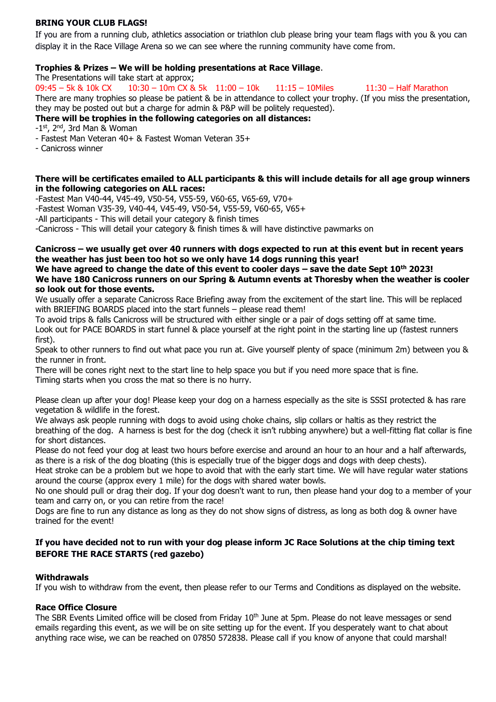## **BRING YOUR CLUB FLAGS!**

If you are from a running club, athletics association or triathlon club please bring your team flags with you & you can display it in the Race Village Arena so we can see where the running community have come from.

## **Trophies & Prizes – We will be holding presentations at Race Village**.

The Presentations will take start at approx;

09:45 – 5k & 10k CX 10:30 – 10m CX & 5k 11:00 – 10k 11:15 – 10Miles 11:30 – Half Marathon There are many trophies so please be patient & be in attendance to collect your trophy. (If you miss the presentation, they may be posted out but a charge for admin & P&P will be politely requested).

# **There will be trophies in the following categories on all distances:**

-1<sup>st</sup>, 2<sup>nd</sup>, 3rd Man & Woman

- Fastest Man Veteran 40+ & Fastest Woman Veteran 35+

- Canicross winner

## **There will be certificates emailed to ALL participants & this will include details for all age group winners in the following categories on ALL races:**

-Fastest Man V40-44, V45-49, V50-54, V55-59, V60-65, V65-69, V70+

-Fastest Woman V35-39, V40-44, V45-49, V50-54, V55-59, V60-65, V65+

-All participants - This will detail your category & finish times

-Canicross - This will detail your category & finish times & will have distinctive pawmarks on

## **Canicross – we usually get over 40 runners with dogs expected to run at this event but in recent years the weather has just been too hot so we only have 14 dogs running this year!**

#### **We have agreed to change the date of this event to cooler days – save the date Sept 10th 2023! We have 180 Canicross runners on our Spring & Autumn events at Thoresby when the weather is cooler so look out for those events.**

We usually offer a separate Canicross Race Briefing away from the excitement of the start line. This will be replaced with BRIEFING BOARDS placed into the start funnels – please read them!

To avoid trips & falls Canicross will be structured with either single or a pair of dogs setting off at same time. Look out for PACE BOARDS in start funnel & place yourself at the right point in the starting line up (fastest runners first).

Speak to other runners to find out what pace you run at. Give yourself plenty of space (minimum 2m) between you & the runner in front.

There will be cones right next to the start line to help space you but if you need more space that is fine. Timing starts when you cross the mat so there is no hurry.

Please clean up after your dog! Please keep your dog on a harness especially as the site is SSSI protected & has rare vegetation & wildlife in the forest.

We always ask people running with dogs to avoid using choke chains, slip collars or haltis as they restrict the breathing of the dog. A harness is best for the dog (check it isn't rubbing anywhere) but a well-fitting flat collar is fine for short distances.

Please do not feed your dog at least two hours before exercise and around an hour to an hour and a half afterwards, as there is a risk of the dog bloating (this is especially true of the bigger dogs and dogs with deep chests).

Heat stroke can be a problem but we hope to avoid that with the early start time. We will have regular water stations around the course (approx every 1 mile) for the dogs with shared water bowls.

No one should pull or drag their dog. If your dog doesn't want to run, then please hand your dog to a member of your team and carry on, or you can retire from the race!

Dogs are fine to run any distance as long as they do not show signs of distress, as long as both dog & owner have trained for the event!

## **If you have decided not to run with your dog please inform JC Race Solutions at the chip timing text BEFORE THE RACE STARTS (red gazebo)**

## **Withdrawals**

If you wish to withdraw from the event, then please refer to our Terms and Conditions as displayed on the website.

## **Race Office Closure**

The SBR Events Limited office will be closed from Friday 10<sup>th</sup> June at 5pm. Please do not leave messages or send emails regarding this event, as we will be on site setting up for the event. If you desperately want to chat about anything race wise, we can be reached on 07850 572838. Please call if you know of anyone that could marshal!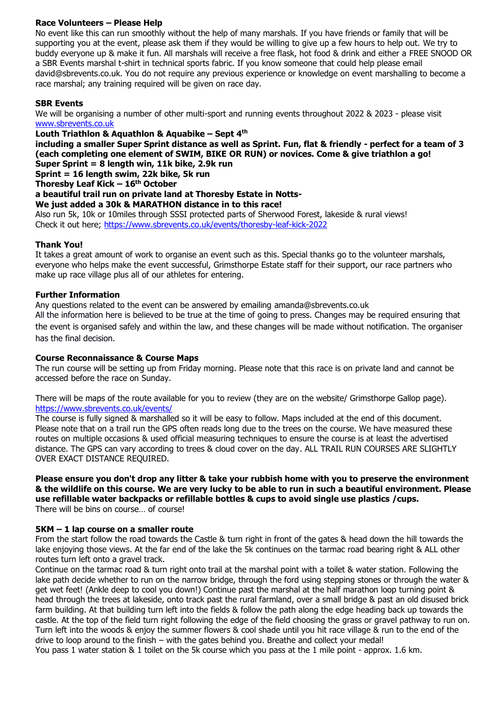## **Race Volunteers – Please Help**

No event like this can run smoothly without the help of many marshals. If you have friends or family that will be supporting you at the event, please ask them if they would be willing to give up a few hours to help out. We try to buddy everyone up & make it fun. All marshals will receive a free flask, hot food & drink and either a FREE SNOOD OR a SBR Events marshal t-shirt in technical sports fabric. If you know someone that could help please email david@sbrevents.co.uk. You do not require any previous experience or knowledge on event marshalling to become a race marshal; any training required will be given on race day.

## **SBR Events**

We will be organising a number of other multi-sport and running events throughout 2022 & 2023 - please visit [www.sbrevents.co.uk](http://www.sbrevents.co.uk/)

**Louth Triathlon & Aquathlon & Aquabike – Sept 4 th**

**including a smaller Super Sprint distance as well as Sprint. Fun, flat & friendly - perfect for a team of 3 (each completing one element of SWIM, BIKE OR RUN) or novices. Come & give triathlon a go! Super Sprint = 8 length win, 11k bike, 2.9k run**

**Sprint = 16 length swim, 22k bike, 5k run**

**Thoresby Leaf Kick – 16th October**

**a beautiful trail run on private land at Thoresby Estate in Notts-**

**We just added a 30k & MARATHON distance in to this race!**

Also run 5k, 10k or 10miles through SSSI protected parts of Sherwood Forest, lakeside & rural views! Check it out here;<https://www.sbrevents.co.uk/events/thoresby-leaf-kick-2022>

## **Thank You!**

It takes a great amount of work to organise an event such as this. Special thanks go to the volunteer marshals, everyone who helps make the event successful, Grimsthorpe Estate staff for their support, our race partners who make up race village plus all of our athletes for entering.

## **Further Information**

Any questions related to the event can be answered by emailing amanda@sbrevents.co.uk All the information here is believed to be true at the time of going to press. Changes may be required ensuring that the event is organised safely and within the law, and these changes will be made without notification. The organiser has the final decision.

## **Course Reconnaissance & Course Maps**

The run course will be setting up from Friday morning. Please note that this race is on private land and cannot be accessed before the race on Sunday.

There will be maps of the route available for you to review (they are on the website/ Grimsthorpe Gallop page). [https://www.sbrevents.co.uk/events/](https://www.sbrevents.co.uk/events/thoresby10-2020)

The course is fully signed & marshalled so it will be easy to follow. Maps included at the end of this document. Please note that on a trail run the GPS often reads long due to the trees on the course. We have measured these routes on multiple occasions & used official measuring techniques to ensure the course is at least the advertised distance. The GPS can vary according to trees & cloud cover on the day. ALL TRAIL RUN COURSES ARE SLIGHTLY OVER EXACT DISTANCE REQUIRED.

# **Please ensure you don't drop any litter & take your rubbish home with you to preserve the environment & the wildlife on this course. We are very lucky to be able to run in such a beautiful environment. Please use refillable water backpacks or refillable bottles & cups to avoid single use plastics /cups.**

There will be bins on course… of course!

## **5KM – 1 lap course on a smaller route**

From the start follow the road towards the Castle & turn right in front of the gates & head down the hill towards the lake enjoying those views. At the far end of the lake the 5k continues on the tarmac road bearing right & ALL other routes turn left onto a gravel track.

Continue on the tarmac road & turn right onto trail at the marshal point with a toilet & water station. Following the lake path decide whether to run on the narrow bridge, through the ford using stepping stones or through the water & get wet feet! (Ankle deep to cool you down!) Continue past the marshal at the half marathon loop turning point & head through the trees at lakeside, onto track past the rural farmland, over a small bridge & past an old disused brick farm building. At that building turn left into the fields & follow the path along the edge heading back up towards the castle. At the top of the field turn right following the edge of the field choosing the grass or gravel pathway to run on. Turn left into the woods & enjoy the summer flowers & cool shade until you hit race village & run to the end of the drive to loop around to the finish – with the gates behind you. Breathe and collect your medal!

You pass 1 water station & 1 toilet on the 5k course which you pass at the 1 mile point - approx. 1.6 km.